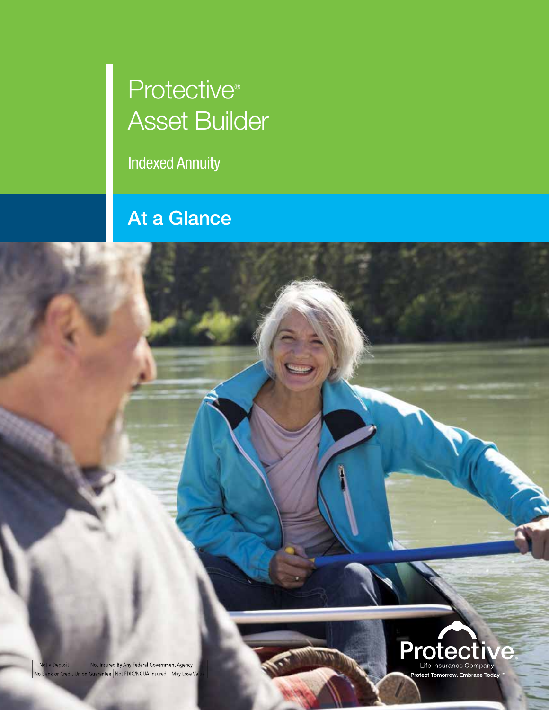## Protective<sup>®</sup> Asset Builder

Indexed Annuity

## At a Glance

Not a Deposit Not Insured By Any Federal Government Agency<br>Io Bank or Credit Union Guarantee Not FDIC/NCUA Insured Nay Lose Va

No B

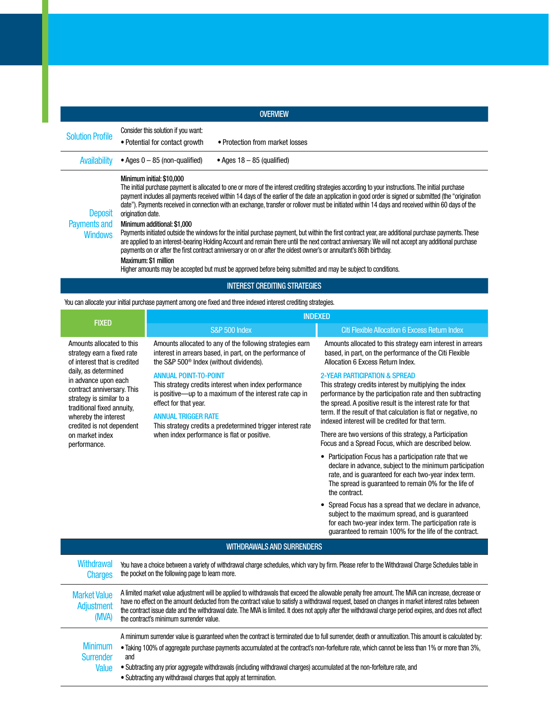| <b>OVERVIEW</b>                                  |                                                                                                                                                                                                                                                                                                                                                                                                                                                                                                                                                                                                                                                                                                                                                                                                                                                                                                                                                                                                                                                                                                                                   |  |  |
|--------------------------------------------------|-----------------------------------------------------------------------------------------------------------------------------------------------------------------------------------------------------------------------------------------------------------------------------------------------------------------------------------------------------------------------------------------------------------------------------------------------------------------------------------------------------------------------------------------------------------------------------------------------------------------------------------------------------------------------------------------------------------------------------------------------------------------------------------------------------------------------------------------------------------------------------------------------------------------------------------------------------------------------------------------------------------------------------------------------------------------------------------------------------------------------------------|--|--|
| <b>Solution Profile</b>                          | Consider this solution if you want:<br>• Potential for contact growth<br>• Protection from market losses                                                                                                                                                                                                                                                                                                                                                                                                                                                                                                                                                                                                                                                                                                                                                                                                                                                                                                                                                                                                                          |  |  |
| <b>Availability</b>                              | • Ages $0 - 85$ (non-qualified)<br>• Ages $18 - 85$ (qualified)                                                                                                                                                                                                                                                                                                                                                                                                                                                                                                                                                                                                                                                                                                                                                                                                                                                                                                                                                                                                                                                                   |  |  |
| <b>Deposit</b><br>Payments and<br><b>Windows</b> | Minimum initial: \$10,000<br>The initial purchase payment is allocated to one or more of the interest crediting strategies according to your instructions. The initial purchase<br>payment includes all payments received within 14 days of the earlier of the date an application in good order is signed or submitted (the "origination<br>date"). Payments received in connection with an exchange, transfer or rollover must be initiated within 14 days and received within 60 days of the<br>origination date.<br>Minimum additional: \$1,000<br>Payments initiated outside the windows for the initial purchase payment, but within the first contract year, are additional purchase payments. These<br>are applied to an interest-bearing Holding Account and remain there until the next contract anniversary. We will not accept any additional purchase<br>payments on or after the first contract anniversary or on or after the oldest owner's or annuitant's 86th birthday.<br>Maximum: \$1 million<br>Higher amounts may be accepted but must be approved before being submitted and may be subject to conditions. |  |  |
| <b>INTEREST CREDITING STRATEGIES</b>             |                                                                                                                                                                                                                                                                                                                                                                                                                                                                                                                                                                                                                                                                                                                                                                                                                                                                                                                                                                                                                                                                                                                                   |  |  |

You can allocate your initial purchase payment among one fixed and three indexed interest crediting strategies.

| <b>FIXED</b>                                                                                                                                                                                                                                                                                                            |                                                                                                                                                                                                                                                                                                                                                                                                                                                                                                            | <b>INDEXED</b>                                                                                                                                                                                                                                                                                                                                                                                                                                                                                         |                                                                                                                                                                                                                                                                                                                                                         |  |  |
|-------------------------------------------------------------------------------------------------------------------------------------------------------------------------------------------------------------------------------------------------------------------------------------------------------------------------|------------------------------------------------------------------------------------------------------------------------------------------------------------------------------------------------------------------------------------------------------------------------------------------------------------------------------------------------------------------------------------------------------------------------------------------------------------------------------------------------------------|--------------------------------------------------------------------------------------------------------------------------------------------------------------------------------------------------------------------------------------------------------------------------------------------------------------------------------------------------------------------------------------------------------------------------------------------------------------------------------------------------------|---------------------------------------------------------------------------------------------------------------------------------------------------------------------------------------------------------------------------------------------------------------------------------------------------------------------------------------------------------|--|--|
|                                                                                                                                                                                                                                                                                                                         |                                                                                                                                                                                                                                                                                                                                                                                                                                                                                                            | <b>S&amp;P 500 Index</b>                                                                                                                                                                                                                                                                                                                                                                                                                                                                               | <b>Citi Flexible Allocation 6 Excess Return Index</b>                                                                                                                                                                                                                                                                                                   |  |  |
| Amounts allocated to this<br>strategy earn a fixed rate<br>of interest that is credited<br>daily, as determined<br>in advance upon each<br>contract anniversary. This<br>strategy is similar to a<br>traditional fixed annuity.<br>whereby the interest<br>credited is not dependent<br>on market index<br>performance. |                                                                                                                                                                                                                                                                                                                                                                                                                                                                                                            | Amounts allocated to any of the following strategies earn<br>interest in arrears based, in part, on the performance of<br>the S&P 500 <sup>®</sup> Index (without dividends).<br><b>ANNUAL POINT-TO-POINT</b><br>This strategy credits interest when index performance<br>is positive-up to a maximum of the interest rate cap in<br>effect for that year.<br><b>ANNUAL TRIGGER RATE</b><br>This strategy credits a predetermined trigger interest rate<br>when index performance is flat or positive. | Amounts allocated to this strategy earn interest in arrears<br>based, in part, on the performance of the Citi Flexible<br>Allocation 6 Excess Return Index.                                                                                                                                                                                             |  |  |
|                                                                                                                                                                                                                                                                                                                         |                                                                                                                                                                                                                                                                                                                                                                                                                                                                                                            |                                                                                                                                                                                                                                                                                                                                                                                                                                                                                                        | <b>2-YEAR PARTICIPATION &amp; SPREAD</b><br>This strategy credits interest by multiplying the index<br>performance by the participation rate and then subtracting<br>the spread. A positive result is the interest rate for that<br>term. If the result of that calculation is flat or negative, no<br>indexed interest will be credited for that term. |  |  |
|                                                                                                                                                                                                                                                                                                                         |                                                                                                                                                                                                                                                                                                                                                                                                                                                                                                            |                                                                                                                                                                                                                                                                                                                                                                                                                                                                                                        | There are two versions of this strategy, a Participation<br>Focus and a Spread Focus, which are described below.                                                                                                                                                                                                                                        |  |  |
|                                                                                                                                                                                                                                                                                                                         |                                                                                                                                                                                                                                                                                                                                                                                                                                                                                                            |                                                                                                                                                                                                                                                                                                                                                                                                                                                                                                        | Participation Focus has a participation rate that we<br>declare in advance, subject to the minimum participation<br>rate, and is guaranteed for each two-year index term.<br>The spread is guaranteed to remain 0% for the life of<br>the contract.                                                                                                     |  |  |
|                                                                                                                                                                                                                                                                                                                         |                                                                                                                                                                                                                                                                                                                                                                                                                                                                                                            |                                                                                                                                                                                                                                                                                                                                                                                                                                                                                                        | Spread Focus has a spread that we declare in advance,<br>subject to the maximum spread, and is guaranteed<br>for each two-year index term. The participation rate is<br>guaranteed to remain 100% for the life of the contract.                                                                                                                         |  |  |
| <b>WITHDRAWALS AND SURRENDERS</b>                                                                                                                                                                                                                                                                                       |                                                                                                                                                                                                                                                                                                                                                                                                                                                                                                            |                                                                                                                                                                                                                                                                                                                                                                                                                                                                                                        |                                                                                                                                                                                                                                                                                                                                                         |  |  |
| Withdrawal<br><b>Charges</b>                                                                                                                                                                                                                                                                                            | You have a choice between a variety of withdrawal charge schedules, which vary by firm. Please refer to the Withdrawal Charge Schedules table in<br>the pocket on the following page to learn more.                                                                                                                                                                                                                                                                                                        |                                                                                                                                                                                                                                                                                                                                                                                                                                                                                                        |                                                                                                                                                                                                                                                                                                                                                         |  |  |
| <b>Market Value</b><br>Adjustment<br>(MVA)                                                                                                                                                                                                                                                                              | A limited market value adjustment will be applied to withdrawals that exceed the allowable penalty free amount. The MVA can increase, decrease or<br>have no effect on the amount deducted from the contract value to satisfy a withdrawal request, based on changes in market interest rates between<br>the contract issue date and the withdrawal date. The MVA is limited. It does not apply after the withdrawal charge period expires, and does not affect<br>the contract's minimum surrender value. |                                                                                                                                                                                                                                                                                                                                                                                                                                                                                                        |                                                                                                                                                                                                                                                                                                                                                         |  |  |
| <b>Minimum</b><br><b>Surrender</b>                                                                                                                                                                                                                                                                                      | A minimum surrender value is guaranteed when the contract is terminated due to full surrender, death or annuitization. This amount is calculated by:<br>• Taking 100% of aggregate purchase payments accumulated at the contract's non-forfeiture rate, which cannot be less than 1% or more than 3%,<br>and                                                                                                                                                                                               |                                                                                                                                                                                                                                                                                                                                                                                                                                                                                                        |                                                                                                                                                                                                                                                                                                                                                         |  |  |

Value • Subtracting any prior aggregate withdrawals (including withdrawal charges) accumulated at the non-forfeiture rate, and

• Subtracting any withdrawal charges that apply at termination.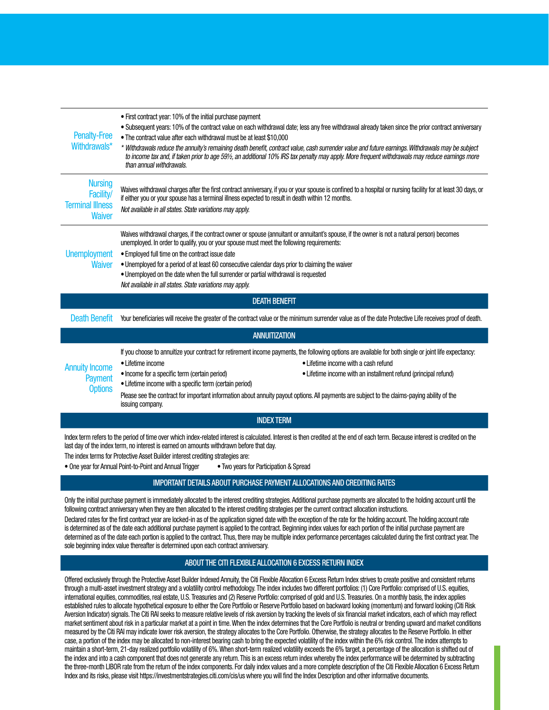| <b>Penalty-Free</b><br>Withdrawals*                                                                                                                                                                                                                                        | • First contract year: 10% of the initial purchase payment<br>. Subsequent years: 10% of the contract value on each withdrawal date; less any free withdrawal already taken since the prior contract anniversary<br>. The contract value after each withdrawal must be at least \$10,000<br>* Withdrawals reduce the annuity's remaining death benefit, contract value, cash surrender value and future earnings. Withdrawals may be subject<br>to income tax and, if taken prior to age 59½, an additional 10% IRS tax penalty may apply. More frequent withdrawals may reduce earnings more<br>than annual withdrawals. |  |  |  |
|----------------------------------------------------------------------------------------------------------------------------------------------------------------------------------------------------------------------------------------------------------------------------|---------------------------------------------------------------------------------------------------------------------------------------------------------------------------------------------------------------------------------------------------------------------------------------------------------------------------------------------------------------------------------------------------------------------------------------------------------------------------------------------------------------------------------------------------------------------------------------------------------------------------|--|--|--|
| <b>Nursing</b><br>Facility/<br><b>Terminal Illness</b><br><b>Waiver</b>                                                                                                                                                                                                    | Waives withdrawal charges after the first contract anniversary, if you or your spouse is confined to a hospital or nursing facility for at least 30 days, or<br>if either you or your spouse has a terminal illness expected to result in death within 12 months.<br>Not available in all states. State variations may apply.                                                                                                                                                                                                                                                                                             |  |  |  |
| <b>Unemployment</b><br>Waiver                                                                                                                                                                                                                                              | Waives withdrawal charges, if the contract owner or spouse (annuitant or annuitant's spouse, if the owner is not a natural person) becomes<br>unemployed. In order to qualify, you or your spouse must meet the following requirements:<br>. Employed full time on the contract issue date<br>. Unemployed for a period of at least 60 consecutive calendar days prior to claiming the waiver<br>• Unemployed on the date when the full surrender or partial withdrawal is requested<br>Not available in all states. State variations may apply.                                                                          |  |  |  |
| <b>DEATH BENEFIT</b>                                                                                                                                                                                                                                                       |                                                                                                                                                                                                                                                                                                                                                                                                                                                                                                                                                                                                                           |  |  |  |
| <b>Death Benefit</b>                                                                                                                                                                                                                                                       | Your beneficiaries will receive the greater of the contract value or the minimum surrender value as of the date Protective Life receives proof of death.                                                                                                                                                                                                                                                                                                                                                                                                                                                                  |  |  |  |
| <b>ANNUITIZATION</b>                                                                                                                                                                                                                                                       |                                                                                                                                                                                                                                                                                                                                                                                                                                                                                                                                                                                                                           |  |  |  |
| <b>Annuity Income</b><br><b>Payment</b><br><b>Options</b>                                                                                                                                                                                                                  | If you choose to annuitize your contract for retirement income payments, the following options are available for both single or joint life expectancy:<br>• Lifetime income with a cash refund<br>• Lifetime income<br>• Income for a specific term (certain period)<br>• Lifetime income with an installment refund (principal refund)<br>• Lifetime income with a specific term (certain period)<br>Please see the contract for important information about annuity payout options. All payments are subject to the claims-paying ability of the<br>issuing company.                                                    |  |  |  |
| <b>INDEX TERM</b>                                                                                                                                                                                                                                                          |                                                                                                                                                                                                                                                                                                                                                                                                                                                                                                                                                                                                                           |  |  |  |
| Index term refers to the period of time over which index-related interest is calculated. Interest is then credited at the end of each term. Because interest is credited on the<br>last day of the index term, no interest is earned on amounts withdrawn before that day. |                                                                                                                                                                                                                                                                                                                                                                                                                                                                                                                                                                                                                           |  |  |  |

The index terms for Protective Asset Builder interest crediting strategies are:

• One year for Annual Point-to-Point and Annual Trigger • Two years for Participation & Spread

## IMPORTANT DETAILS ABOUT PURCHASE PAYMENT ALLOCATIONS AND CREDITING RATES

Only the initial purchase payment is immediately allocated to the interest crediting strategies. Additional purchase payments are allocated to the holding account until the following contract anniversary when they are then allocated to the interest crediting strategies per the current contract allocation instructions.

Declared rates for the first contract year are locked-in as of the application signed date with the exception of the rate for the holding account. The holding account rate is determined as of the date each additional purchase payment is applied to the contract. Beginning index values for each portion of the initial purchase payment are determined as of the date each portion is applied to the contract. Thus, there may be multiple index performance percentages calculated during the first contract year. The sole beginning index value thereafter is determined upon each contract anniversary.

## ABOUT THE CITI FLEXIBLE ALLOCATION 6 EXCESS RETURN INDEX

Offered exclusively through the Protective Asset Builder Indexed Annuity, the Citi Flexible Allocation 6 Excess Return Index strives to create positive and consistent returns through a multi-asset investment strategy and a volatility control methodology. The index includes two different portfolios: (1) Core Portfolio: comprised of U.S. equities, international equities, commodities, real estate, U.S. Treasuries and (2) Reserve Portfolio: comprised of gold and U.S. Treasuries. On a monthly basis, the index applies established rules to allocate hypothetical exposure to either the Core Portfolio or Reserve Portfolio based on backward looking (momentum) and forward looking (Citi Risk Aversion Indicator) signals. The Citi RAI seeks to measure relative levels of risk aversion by tracking the levels of six financial market indicators, each of which may reflect market sentiment about risk in a particular market at a point in time. When the index determines that the Core Portfolio is neutral or trending upward and market conditions measured by the Citi RAI may indicate lower risk aversion, the strategy allocates to the Core Portfolio. Otherwise, the strategy allocates to the Reserve Portfolio. In either case, a portion of the index may be allocated to non-interest bearing cash to bring the expected volatility of the index within the 6% risk control. The index attempts to maintain a short-term, 21-day realized portfolio volatility of 6%. When short-term realized volatility exceeds the 6% target, a percentage of the allocation is shifted out of the index and into a cash component that does not generate any return. This is an excess return index whereby the index performance will be determined by subtracting the three-month LIBOR rate from the return of the index components. For daily index values and a more complete description of the Citi Flexible Allocation 6 Excess Return Index and its risks, please visit https://investmentstrategies.citi.com/cis/us where you will find the Index Description and other informative documents.